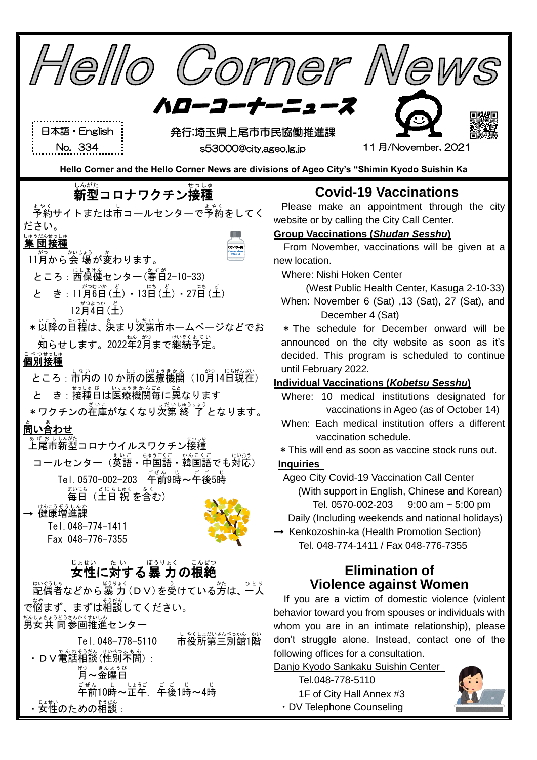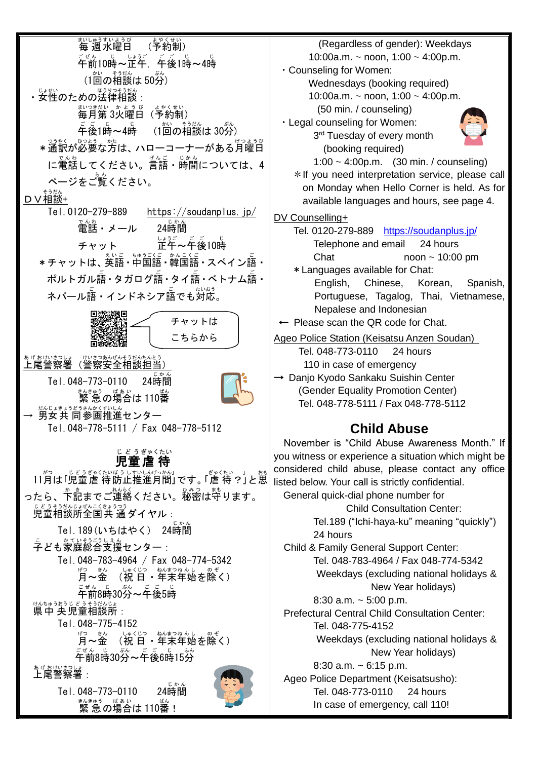ホ<u>៶</u>いゅうすいようび<br>毎週水曜日 (予約制 よやくせい ) ゠<br>゚゙゙ヸ゙゚゙**前10時~**定年,午後1時~4時 (1回の相談は50分) ・女性のための法律相談 :<br>・女性のための法律相談 : まいつきだい。かようび、よやくせい。<br>毎月第3火曜日(予約制) \_\_\_\_\_\_\_\_\_\_\_\_\_\_\_\_<br>午後1時~4時 (1回の相談は 30分) \*通訳が必要な方は、 ハローコーナーがある月曜日 に電話してください。言語・時間については、4 ページをご覧ください。 D V 相談+ Tel.0120-279-889 <https://soudanplus.jp/> 。。。。<br>電話・メール 24時間 ーー<br>24時間 チャット 正午 <u>・。ご</u><br>正午~午後10時 \*チャットは、英語・中国語 • 韓国語 • スペイン語・ ポルトガル語 • タガログ語 • タイ語 • ベトナム語 • ネパール語・インドネシア語でも対応。 ぁゖぉゖぉっしょ 此ぉっぁんぜんそうだんたんとう<br>上尾警察署(警察安全相談担当)  $Tel.048-773-0110$  $24$ 時間 <sub>まんきゅう</sub> <sub>ばぁぃ</sub> <br>緊 急 の場合は 110番 — <u>後のはもうどうさんがくすいしん</u><br>→ 男女共 同参画推進センター Tel.048-778-5111 / Fax 048-778-5112 児童 虐 待 じどう ぎゃくたい 11月は「児童虐待防止推進月間」です。「虐待?」と思 ったら、<sup>お</sup>…までご連絡ください。秘密は守ります。 <u>じどうもないま</u>なこくきょうつう<br>児童相談所全国共 通ダイヤル : Tel.189(いちはやく) 24時間 ことも家庭総合支援センター : Tel.048-783-4964 / Fax 048-774-5342 <sub>げつ きん</sub><br>**月〜金** 、いゃくじっ。 ねんまつねんし のぞ<br>(祝 日 ・年末年始を除く) <sub>ごぜん じ</sub><br>午前8時30分~午後5時 <sub>けんちゅうおうじどうそうだんじょ<br>県中 央児童相談所:</sub> Tel.048-775-4152 月 げつ ~金 きん (祝 日 しゅくじつ ・年末 ねんまつ 年始 ねんし を除く の ぞ ) <sub>こぜん じ</sub> 。。。<br>午前8時30分~午後6時15分 ぁゖぉゖぃ<u>きっしょ</u><br>**上尾警察署**:  $Tel.048-773-0110$  $24$ 時間 <sub>まんきゅう</sub> <sub>ばあい</sub><br>緊 急 の場合は 110番! チャットは こちらから

(Regardless of gender): Weekdays 10:00a.m. ~ noon,  $1:00 \sim 4:00$ p.m. ・Counseling for Women: Wednesdays (booking required) 10:00a.m. ~ noon, 1:00 ~ 4:00p.m. (50 min. / counseling) ・Legal counseling for Women: 3<sup>rd</sup> Tuesday of every month (booking required) 1:00 ~ 4:00p.m. (30 min. / counseling) \*If you need interpretation service, please call on Monday when Hello Corner is held. As for available languages and hours, see page 4. DV Counselling+ Tel. 0120-279-889 <https://soudanplus.jp/> Telephone and email 24 hours Chat noon ~ 10:00 pm \*Languages available for Chat: English, Chinese, Korean, Spanish, Portuguese, Tagalog, Thai, Vietnamese, Nepalese and Indonesian ← Please scan the QR code for Chat. Ageo Police Station (Keisatsu Anzen Soudan) Tel. 048-773-0110 24 hours 110 in case of emergency → Danjo Kyodo Sankaku Suishin Center (Gender Equality Promotion Center) Tel. 048-778-5111 / Fax 048-778-5112 **Child Abuse** November is "Child Abuse Awareness Month." If you witness or experience a situation which might be considered child abuse, please contact any office listed below. Your call is strictly confidential. General quick-dial phone number for Child Consultation Center: Tel.189 ("Ichi-haya-ku" meaning "quickly") 24 hours Child & Family General Support Center: Tel. 048-783-4964 / Fax 048-774-5342 Weekdays (excluding national holidays & New Year holidays) 8:30 a.m.  $\sim$  5:00 p.m. Prefectural Central Child Consultation Center: Tel. 048-775-4152 Weekdays (excluding national holidays & New Year holidays) 8:30 a.m. ~ 6:15 p.m. Ageo Police Department (Keisatsusho): Tel. 048-773-0110 24 hours In case of emergency, call 110!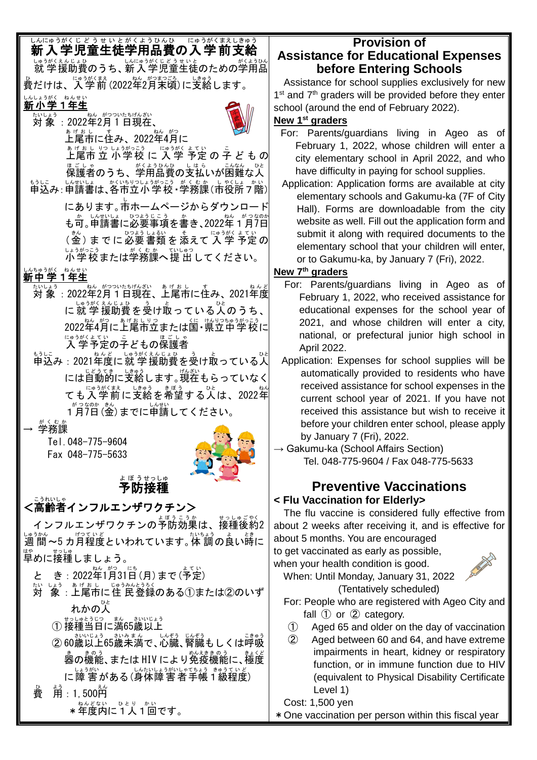# しんにゅうがくじどう せいとがくまうしきゅう。<br>**新入学児童生徒学用品費の入学前支給**

い。ぅがくぇく。。。<br>就 学 援助費のうち、新 入 学 児童生徒のための学用品 。<br>費だけは、入学前(2022年2月末頃)に支給します。

## しんしょうがく ねんせい<br>**新小学1年生**

たいしょう<br>**対 象** :2022年2月1日現在、



ぁ<sub>ゖぉし</sub><br>上尾市に住み、2022年4月に

<u> \* ぱもい ぷっぷ にゅうがまてい</u> の 字 ど も の <sub>ほごしゃ</sub><br>保護者のうち、学用品費の支払いが困難な人 ホラレニ 」ん방しょ べいもツしょうがっこう。がくむか(上次)ボーク。)

にあります。市 し ホームページからダウンロード も可。申請書に必要事項を書き、2022年 1 月7日 (釜)までに必要書類を添えて入学 予定の ↓↓ぅがっこぅ<br>小学校または学務課へ提 出してください。

# しんちゅうがく ねんせい<br>**新中学1年生**

- <u>たいよう</u><br>対 象 :2022年2月1日現在、上尾市に住み、2021年度 に就学援助費を受け取っている人のうち、 2022年4月に上尾市立または国・県立中学校に にゅうがくよてい…こ<br>**入 学予定の子どもの保**護者
- もうしこ<br>申込み:2021年度に 就 学 援助費を受け取っている人 には自動的に支給します。<sup>脱ぶい</sup>もらっていなく ても入学前に支給を希望する人は、2022年
	- 1月 が つ 7 な 日 のか (金 きん )までに申請 しんせい してください。
- → 学務課 がくむか

Tel.048-775-9604 Fax 048-775-5633



#### 予防 接種 よぼう せっしゅ

# <高齢者 こうれいしゃ インフルエンザワクチン>

ィンフルエンザワクチンの予防効果は、接種後約2 ↓●ぅゕん<br>週 間 〜5 カ月程度といわれています。体 調の良い時に はゃ。」。。<br>早めに接種しましょう。

- と き: 2022年1月31日(月)まで(予定)
- <sub>たいしょう。あげぉし。</sup>いゅうかとうろく。<br>対 象 : 上尾市に住 民登録のある①または②のいず</sub> れかの人 ひと
	- ① 接種当日に満65歳以上
	- ② 60歳以上65歳未満で、心穏、腎臓もしくは呼吸 …。<br>器の機能、または HIV により免疫機能に、極度 に障 害がある(身体障害者手帳1級程度)

費 ひ ょ<sub>ぅ</sub><br>用:1, 500円

\* 年度内に 1 人 1 回です。

### **Provision of Assistance for Educational Expenses before Entering Schools**

Assistance for school supplies exclusively for new 1<sup>st</sup> and 7<sup>th</sup> graders will be provided before they enter school (around the end of February 2022).

#### **New 1st graders**

- For: Parents/guardians living in Ageo as of February 1, 2022, whose children will enter a city elementary school in April 2022, and who have difficulty in paying for school supplies.
- Application: Application forms are available at city elementary schools and Gakumu-ka (7F of City Hall). Forms are downloadable from the city website as well. Fill out the application form and submit it along with required documents to the elementary school that your children will enter, or to Gakumu-ka, by January 7 (Fri), 2022.

### **New 7 th graders**

- For: Parents/guardians living in Ageo as of February 1, 2022, who received assistance for educational expenses for the school year of 2021, and whose children will enter a city, national, or prefectural junior high school in April 2022.
- Application: Expenses for school supplies will be automatically provided to residents who have received assistance for school expenses in the current school year of 2021. If you have not received this assistance but wish to receive it before your children enter school, please apply by January 7 (Fri), 2022.
- $\rightarrow$  Gakumu-ka (School Affairs Section) Tel. 048-775-9604 / Fax 048-775-5633

#### **Preventive Vaccinations < Flu Vaccination for Elderly>**

The flu vaccine is considered fully effective from about 2 weeks after receiving it, and is effective for about 5 months. You are encouraged

to get vaccinated as early as possible, when your health condition is good.



When: Until Monday, January 31, 2022 (Tentatively scheduled)

- For: People who are registered with Ageo City and fall  $(1)$  or  $(2)$  category.
- ① Aged 65 and older on the day of vaccination
- ② Aged between 60 and 64, and have extreme impairments in heart, kidney or respiratory function, or in immune function due to HIV (equivalent to Physical Disability Certificate Level 1)

Cost: 1,500 yen

\*One vaccination per person within this fiscal year